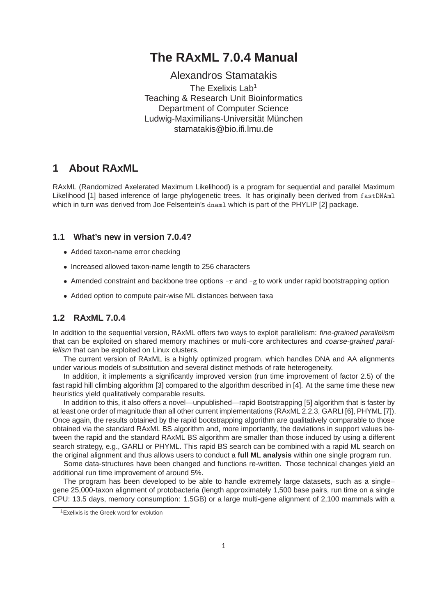# **The RAxML 7.0.4 Manual**

Alexandros Stamatakis The Exelixis Lab<sup>1</sup> Teaching & Research Unit Bioinformatics Department of Computer Science Ludwig-Maximilians-Universität München stamatakis@bio.ifi.lmu.de

# **1 About RAxML**

RAxML (Randomized Axelerated Maximum Likelihood) is a program for sequential and parallel Maximum Likelihood [1] based inference of large phylogenetic trees. It has originally been derived from fastDNAml which in turn was derived from Joe Felsentein's dnaml which is part of the PHYLIP [2] package.

## **1.1 What's new in version 7.0.4?**

- Added taxon-name error checking
- Increased allowed taxon-name length to 256 characters
- Amended constraint and backbone tree options  $-r$  and  $-g$  to work under rapid bootstrapping option
- Added option to compute pair-wise ML distances between taxa

## **1.2 RAxML 7.0.4**

In addition to the sequential version, RAxML offers two ways to exploit parallelism: fine-grained parallelism that can be exploited on shared memory machines or multi-core architectures and coarse-grained parallelism that can be exploited on Linux clusters.

The current version of RAxML is a highly optimized program, which handles DNA and AA alignments under various models of substitution and several distinct methods of rate heterogeneity.

In addition, it implements a significantly improved version (run time improvement of factor 2.5) of the fast rapid hill climbing algorithm [3] compared to the algorithm described in [4]. At the same time these new heuristics yield qualitatively comparable results.

In addition to this, it also offers a novel—unpublished—rapid Bootstrapping [5] algorithm that is faster by at least one order of magnitude than all other current implementations (RAxML 2.2.3, GARLI [6], PHYML [7]). Once again, the results obtained by the rapid bootstrapping algorithm are qualitatively comparable to those obtained via the standard RAxML BS algorithm and, more importantly, the deviations in support values between the rapid and the standard RAxML BS algorithm are smaller than those induced by using a different search strategy, e.g., GARLI or PHYML. This rapid BS search can be combined with a rapid ML search on the original alignment and thus allows users to conduct a **full ML analysis** within one single program run.

Some data-structures have been changed and functions re-written. Those technical changes yield an additional run time improvement of around 5%.

The program has been developed to be able to handle extremely large datasets, such as a single– gene 25,000-taxon alignment of protobacteria (length approximately 1,500 base pairs, run time on a single CPU: 13.5 days, memory consumption: 1.5GB) or a large multi-gene alignment of 2,100 mammals with a

<sup>1</sup>Exelixis is the Greek word for evolution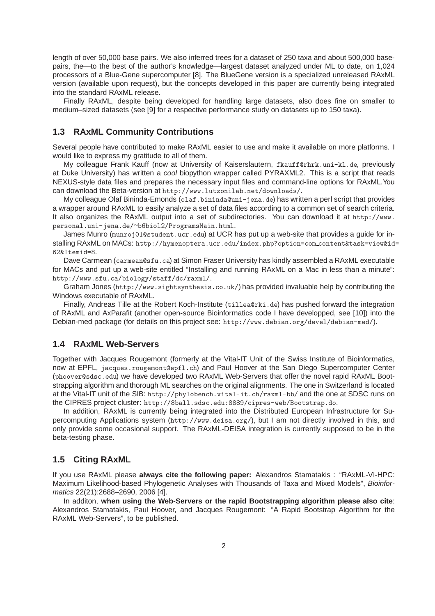length of over 50,000 base pairs. We also inferred trees for a dataset of 250 taxa and about 500,000 basepairs, the—to the best of the author's knowledge—largest dataset analyzed under ML to date, on 1,024 processors of a Blue-Gene supercomputer [8]. The BlueGene version is a specialized unreleased RAxML version (available upon request), but the concepts developed in this paper are currently being integrated into the standard RAxML release.

Finally RAxML, despite being developed for handling large datasets, also does fine on smaller to medium–sized datasets (see [9] for a respective performance study on datasets up to 150 taxa).

## **1.3 RAxML Community Contributions**

Several people have contributed to make RAxML easier to use and make it available on more platforms. I would like to express my gratitude to all of them.

My colleague Frank Kauff (now at University of Kaiserslautern, fkauff@rhrk.uni-kl.de, previously at Duke University) has written a cool biopython wrapper called PYRAXML2. This is a script that reads NEXUS-style data files and prepares the necessary input files and command-line options for RAxML.You can download the Beta-version at http://www.lutzonilab.net/downloads/.

My colleague Olaf Bininda-Emonds (olaf.bininda@uni-jena.de) has written a perl script that provides a wrapper around RAxML to easily analyze a set of data files according to a common set of search criteria. It also organizes the RAxML output into a set of subdirectories. You can download it at http://www. personal.uni-jena.de/∼b6biol2/ProgramsMain.html.

James Munro (munroj01@student.ucr.edu) at UCR has put up a web-site that provides a guide for installing RAxML on MACs: http://hymenoptera.ucr.edu/index.php?option=com\_content&task=view&id= 62&Itemid=8.

Dave Carmean (carmean@sfu.ca) at Simon Fraser University has kindly assembled a RAxML executable for MACs and put up a web-site entitled "Installing and running RAxML on a Mac in less than a minute": http://www.sfu.ca/biology/staff/dc/raxml/.

Graham Jones (http://www.sightsynthesis.co.uk/) has provided invaluable help by contributing the Windows executable of RAxML.

Finally, Andreas Tille at the Robert Koch-Institute (tillea@rki.de) has pushed forward the integration of RAxML and AxParafit (another open-source Bioinformatics code I have developped, see [10]) into the Debian-med package (for details on this project see: http://www.debian.org/devel/debian-med/).

### **1.4 RAxML Web-Servers**

Together with Jacques Rougemont (formerly at the Vital-IT Unit of the Swiss Institute of Bioinformatics, now at EPFL, jacques.rougemont@epfl.ch) and Paul Hoover at the San Diego Supercomputer Center (phoover@sdsc.edu) we have developed two RAxML Web-Servers that offer the novel rapid RAxML Bootstrapping algorithm and thorough ML searches on the original alignments. The one in Switzerland is located at the Vital-IT unit of the SIB: http://phylobench.vital-it.ch/raxml-bb/ and the one at SDSC runs on the CIPRES project cluster: http://8ball.sdsc.edu:8889/cipres-web/Bootstrap.do.

In addition, RAxML is currently being integrated into the Distributed European Infrastructure for Supercomputing Applications system (http://www.deisa.org/), but I am not directly involved in this, and only provide some occasional support. The RAxML-DEISA integration is currently supposed to be in the beta-testing phase.

### **1.5 Citing RAxML**

If you use RAxML please **always cite the following paper:** Alexandros Stamatakis : "RAxML-VI-HPC: Maximum Likelihood-based Phylogenetic Analyses with Thousands of Taxa and Mixed Models", Bioinformatics 22(21):2688–2690, 2006 [4].

In additon, **when using the Web-Servers or the rapid Bootstrapping algorithm please also cite**: Alexandros Stamatakis, Paul Hoover, and Jacques Rougemont: "A Rapid Bootstrap Algorithm for the RAxML Web-Servers", to be published.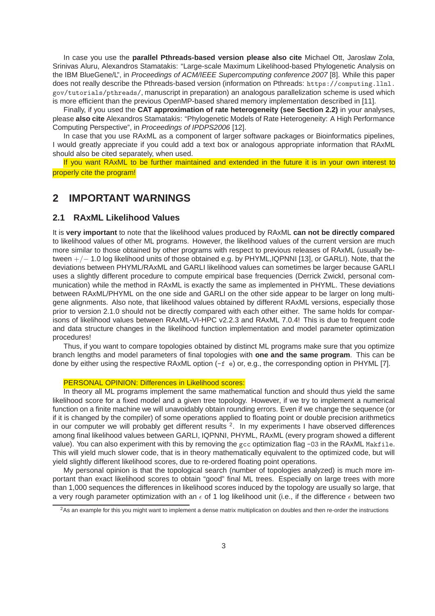In case you use the **parallel Pthreads-based version please also cite** Michael Ott, Jaroslaw Zola, Srinivas Aluru, Alexandros Stamatakis: "Large-scale Maximum Likelihood-based Phylogenetic Analysis on the IBM BlueGene/L", in Proceedings of ACM/IEEE Supercomputing conference 2007 [8]. While this paper does not really describe the Pthreads-based version (information on Pthreads: https://computing.llnl. gov/tutorials/pthreads/, manuscript in preparation) an analogous parallelization scheme is used which is more efficient than the previous OpenMP-based shared memory implementation described in [11].

Finally, if you used the **CAT approximation of rate heterogeneity (see Section 2.2)** in your analyses, please **also cite** Alexandros Stamatakis: "Phylogenetic Models of Rate Heterogeneity: A High Performance Computing Perspective", in Proceedings of IPDPS2006 [12].

In case that you use RAxML as a component of larger software packages or Bioinformatics pipelines, I would greatly appreciate if you could add a text box or analogous appropriate information that RAxML should also be cited separately, when used.

If you want RAxML to be further maintained and extended in the future it is in your own interest to properly cite the program!

# **2 IMPORTANT WARNINGS**

### **2.1 RAxML Likelihood Values**

It is **very important** to note that the likelihood values produced by RAxML **can not be directly compared** to likelihood values of other ML programs. However, the likelihood values of the current version are much more similar to those obtained by other programs with respect to previous releases of RAxML (usually between +/− 1.0 log likelihood units of those obtained e.g. by PHYML,IQPNNI [13], or GARLI). Note, that the deviations between PHYML/RAxML and GARLI likelihood values can sometimes be larger because GARLI uses a slightly different procedure to compute empirical base frequencies (Derrick Zwickl, personal communication) while the method in RAxML is exactly the same as implemented in PHYML. These deviations between RAxML/PHYML on the one side and GARLI on the other side appear to be larger on long multigene alignments. Also note, that likelihood values obtained by different RAxML versions, especially those prior to version 2.1.0 should not be directly compared with each other either. The same holds for comparisons of likelihood values between RAxML-VI-HPC v2.2.3 and RAxML 7.0.4! This is due to frequent code and data structure changes in the likelihood function implementation and model parameter optimization procedures!

Thus, if you want to compare topologies obtained by distinct ML programs make sure that you optimize branch lengths and model parameters of final topologies with **one and the same program**. This can be done by either using the respective RAxML option (-f e) or, e.g., the corresponding option in PHYML [7].

### PERSONAL OPINION: Differences in Likelihood scores:

In theory all ML programs implement the same mathematical function and should thus yield the same likelihood score for a fixed model and a given tree topology. However, if we try to implement a numerical function on a finite machine we will unavoidably obtain rounding errors. Even if we change the sequence (or if it is changed by the compiler) of some operations applied to floating point or double precision arithmetics in our computer we will probably get different results  $2$ . In my experiments I have observed differences among final likelihood values between GARLI, IQPNNI, PHYML, RAxML (every program showed a different value). You can also experiment with this by removing the gcc optimization flag -03 in the RAxML Makfile. This will yield much slower code, that is in theory mathematically equivalent to the optimized code, but will yield slightly different likelihood scores, due to re-ordered floating point operations.

My personal opinion is that the topological search (number of topologies analyzed) is much more important than exact likelihood scores to obtain "good" final ML trees. Especially on large trees with more than 1,000 sequences the differences in likelihood scores induced by the topology are usually so large, that a very rough parameter optimization with an  $\epsilon$  of 1 log likelihood unit (i.e., if the difference  $\epsilon$  between two

<sup>&</sup>lt;sup>2</sup>As an example for this you might want to implement a dense matrix multiplication on doubles and then re-order the instructions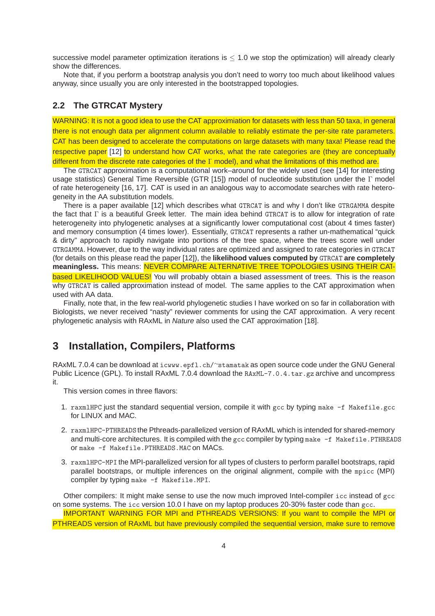successive model parameter optimization iterations is  $\leq 1.0$  we stop the optimization) will already clearly show the differences.

Note that, if you perform a bootstrap analysis you don't need to worry too much about likelihood values anyway, since usually you are only interested in the bootstrapped topologies.

### **2.2 The GTRCAT Mystery**

WARNING: It is not a good idea to use the CAT approximiation for datasets with less than 50 taxa, in general there is not enough data per alignment column available to reliably estimate the per-site rate parameters. CAT has been designed to accelerate the computations on large datasets with many taxa! Please read the respective paper [12] to understand how CAT works, what the rate categories are (they are conceptually different from the discrete rate categories of the Γ model), and what the limitations of this method are.

The GTRCAT approximation is a computational work–around for the widely used (see [14] for interesting usage statistics) General Time Reversible (GTR [15]) model of nucleotide substitution under the Γ model of rate heterogeneity [16, 17]. CAT is used in an analogous way to accomodate searches with rate heterogeneity in the AA substitution models.

There is a paper available [12] which describes what GTRCAT is and why I don't like GTRGAMMA despite the fact that Γ is a beautiful Greek letter. The main idea behind GTRCAT is to allow for integration of rate heterogeneity into phylogenetic analyses at a significantly lower computational cost (about 4 times faster) and memory consumption (4 times lower). Essentially, GTRCAT represents a rather un-mathematical "quick & dirty" approach to rapidly navigate into portions of the tree space, where the trees score well under GTRGAMMA. However, due to the way individual rates are optimized and assigned to rate categories in GTRCAT (for details on this please read the paper [12]), the **likelihood values computed by** GTRCAT **are completely meaningless.** This means: NEVER COMPARE ALTERNATIVE TREE TOPOLOGIES USING THEIR CAT**based LIKELIHOOD VALUES!** You will probably obtain a biased assessment of trees. This is the reason why GTRCAT is called approximation instead of model. The same applies to the CAT approximation when used with AA data.

Finally, note that, in the few real-world phylogenetic studies I have worked on so far in collaboration with Biologists, we never received "nasty" reviewer comments for using the CAT approximation. A very recent phylogenetic analysis with RAxML in Nature also used the CAT approximation [18].

# **3 Installation, Compilers, Platforms**

RAxML 7.0.4 can be download at icwww.epfl.ch/~stamatak as open source code under the GNU General Public Licence (GPL). To install RAxML 7.0.4 download the RAxML-7.0.4.tar.gz archive and uncompress it.

This version comes in three flavors:

- 1. raxmlHPC just the standard sequential version, compile it with gcc by typing make -f Makefile.gcc for LINUX and MAC.
- 2. raxmlHPC-PTHREADS the Pthreads-parallelized version of RAxML which is intended for shared-memory and multi-core architectures. It is compiled with the gcc compiler by typing make -f Makefile.PTHREADS or make -f Makefile.PTHREADS.MAC on MACs.
- 3. raxmlHPC-MPI the MPI-parallelized version for all types of clusters to perform parallel bootstraps, rapid parallel bootstraps, or multiple inferences on the original alignment, compile with the mpicc (MPI) compiler by typing make -f Makefile.MPI.

Other compilers: It might make sense to use the now much improved Intel-compiler icc instead of gcc on some systems. The icc version 10.0 I have on my laptop produces 20-30% faster code than gcc. IMPORTANT WARNING FOR MPI and PTHREADS VERSIONS: If you want to compile the MPI or

PTHREADS version of RAxML but have previously compiled the sequential version, make sure to remove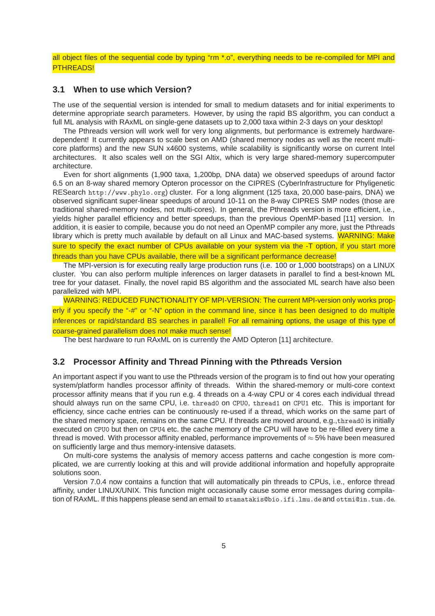all object files of the sequential code by typing "rm \*.o", everything needs to be re-compiled for MPI and PTHREADS!

### **3.1 When to use which Version?**

The use of the sequential version is intended for small to medium datasets and for initial experiments to determine appropriate search parameters. However, by using the rapid BS algorithm, you can conduct a full ML analysis with RAxML on single-gene datasets up to 2,000 taxa within 2-3 days on your desktop!

The Pthreads version will work well for very long alignments, but performance is extremely hardwaredependent! It currently appears to scale best on AMD (shared memory nodes as well as the recent multicore platforms) and the new SUN x4600 systems, while scalability is significantly worse on current Intel architectures. It also scales well on the SGI Altix, which is very large shared-memory supercomputer architecture.

Even for short alignments (1,900 taxa, 1,200bp, DNA data) we observed speedups of around factor 6.5 on an 8-way shared memory Opteron processor on the CIPRES (CyberInfrastructure for Phyligenetic RESearch http://www.phylo.org) cluster. For a long alignment (125 taxa, 20,000 base-pairs, DNA) we observed significant super-linear speedups of around 10-11 on the 8-way CIPRES SMP nodes (those are traditional shared-memory nodes, not multi-cores). In general, the Pthreads version is more efficient, i.e., yields higher parallel efficiency and better speedups, than the previous OpenMP-based [11] version. In addition, it is easier to compile, because you do not need an OpenMP compiler any more, just the Pthreads library which is pretty much available by default on all Linux and MAC-based systems. WARNING: Make sure to specify the exact number of CPUs available on your system via the -T option, if you start more threads than you have CPUs available, there will be a significant performance decrease!

The MPI-version is for executing really large production runs (i.e. 100 or 1,000 bootstraps) on a LINUX cluster. You can also perform multiple inferences on larger datasets in parallel to find a best-known ML tree for your dataset. Finally, the novel rapid BS algorithm and the associated ML search have also been parallelized with MPI.

WARNING: REDUCED FUNCTIONALITY OF MPI-VERSION: The current MPI-version only works properly if you specify the "-#" or "-N" option in the command line, since it has been designed to do multiple inferences or rapid/standard BS searches in parallel! For all remaining options, the usage of this type of coarse-grained parallelism does not make much sense!

The best hardware to run RAxML on is currently the AMD Opteron [11] architecture.

### **3.2 Processor Affinity and Thread Pinning with the Pthreads Version**

An important aspect if you want to use the Pthreads version of the program is to find out how your operating system/platform handles processor affinity of threads. Within the shared-memory or multi-core context processor affinity means that if you run e.g. 4 threads on a 4-way CPU or 4 cores each individual thread should always run on the same CPU, i.e. thread0 on CPU0, thread1 on CPU1 etc. This is important for efficiency, since cache entries can be continuously re-used if a thread, which works on the same part of the shared memory space, remains on the same CPU. If threads are moved around, e.g.,thread0 is initially executed on CPU0 but then on CPU4 etc. the cache memory of the CPU will have to be re-filled every time a thread is moved. With processor affinity enabled, performance improvements of  $\approx$  5% have been measured on sufficiently large and thus memory-intensive datasets.

On multi-core systems the analysis of memory access patterns and cache congestion is more complicated, we are currently looking at this and will provide additional information and hopefully appropraite solutions soon.

Version 7.0.4 now contains a function that will automatically pin threads to CPUs, i.e., enforce thread affinity, under LINUX/UNIX. This function might occasionally cause some error messages during compilation of RAxML. If this happens please send an email to stamatakis@bio.ifi.lmu.deand ottmi@in.tum.de.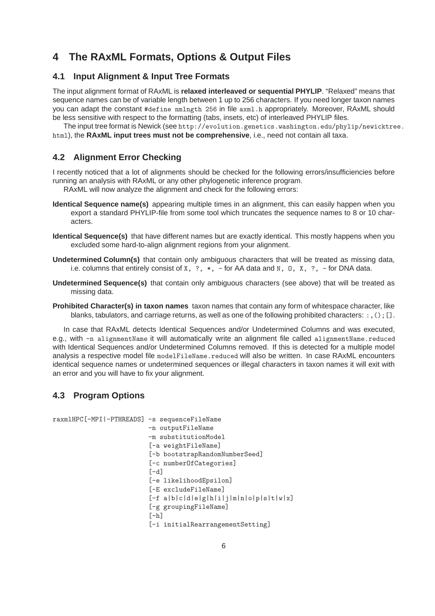# **4 The RAxML Formats, Options & Output Files**

## **4.1 Input Alignment & Input Tree Formats**

The input alignment format of RAxML is **relaxed interleaved or sequential PHYLIP**. "Relaxed" means that sequence names can be of variable length between 1 up to 256 characters. If you need longer taxon names you can adapt the constant #define nmlngth 256 in file axml.h appropriately. Moreover, RAxML should be less sensitive with respect to the formatting (tabs, insets, etc) of interleaved PHYLIP files.

The input tree format is Newick (see http://evolution.genetics.washington.edu/phylip/newicktree. html), the **RAxML input trees must not be comprehensive**, i.e., need not contain all taxa.

## **4.2 Alignment Error Checking**

I recently noticed that a lot of alignments should be checked for the following errors/insufficiencies before running an analysis with RAxML or any other phylogenetic inference program.

RAxML will now analyze the alignment and check for the following errors:

- **Identical Sequence name(s)** appearing multiple times in an alignment, this can easily happen when you export a standard PHYLIP-file from some tool which truncates the sequence names to 8 or 10 characters.
- **Identical Sequence(s)** that have different names but are exactly identical. This mostly happens when you excluded some hard-to-align alignment regions from your alignment.
- **Undetermined Column(s)** that contain only ambiguous characters that will be treated as missing data, i.e. columns that entirely consist of  $X, ?, *$ , - for AA data and  $N, 0, X, ?$ , - for DNA data.
- **Undetermined Sequence(s)** that contain only ambiguous characters (see above) that will be treated as missing data.
- **Prohibited Character(s) in taxon names** taxon names that contain any form of whitespace character, like blanks, tabulators, and carriage returns, as well as one of the following prohibited characters: :, (); [].

In case that RAxML detects Identical Sequences and/or Undetermined Columns and was executed, e.g., with -n alignmentName it will automatically write an alignment file called alignmentName.reduced with Identical Sequences and/or Undetermined Columns removed. If this is detected for a multiple model analysis a respective model file modelFileName.reduced will also be written. In case RAxML encounters identical sequence names or undetermined sequences or illegal characters in taxon names it will exit with an error and you will have to fix your alignment.

## **4.3 Program Options**

```
raxmlHPC[-MPI|-PTHREADS] -s sequenceFileName
                         -n outputFileName
                         -m substitutionModel
                         [-a weightFileName]
                         [-b bootstrapRandomNumberSeed]
                         [-c numberOfCategories]
                         [-d][-e likelihoodEpsilon]
                         [-E excludeFileName]
                         [-f a|b|c|d|e|g|h|i|j|m|n|o|p|s|t|w|x]
                         [-g groupingFileName]
                         [-h][-i initialRearrangementSetting]
```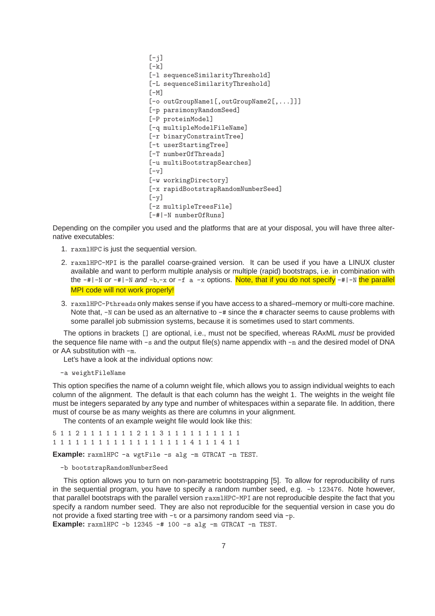```
[-i][-k][-l sequenceSimilarityThreshold]
[-L sequenceSimilarityThreshold]
[-M][-o outGroupName1[,outGroupName2[,...]]]
[-p parsimonyRandomSeed]
[-P proteinModel]
[-q multipleModelFileName]
[-r binaryConstraintTree]
[-t userStartingTree]
[-T numberOfThreads]
[-u multiBootstrapSearches]
[-v][-w workingDirectory]
[-x rapidBootstrapRandomNumberSeed]
[-v][-z multipleTreesFile]
[-#|-N numberOfRuns]
```
Depending on the compiler you used and the platforms that are at your disposal, you will have three alternative executables:

- 1. raxmlHPC is just the sequential version.
- 2. raxmlHPC-MPI is the parallel coarse-grained version. It can be used if you have a LINUX cluster available and want to perform multiple analysis or multiple (rapid) bootstraps, i.e. in combination with the  $-\#$ |-N or  $-\#$ |-N and  $-b$ ,-x or  $-f$  a -x options. Note, that if you do not specify  $-\#$ |-N the parallel MPI code will not work properly!
- 3. raxmlHPC-Pthreads only makes sense if you have access to a shared–memory or multi-core machine. Note that,  $-N$  can be used as an alternative to  $-\#$  since the  $\#$  character seems to cause problems with some parallel job submission systems, because it is sometimes used to start comments.

The options in brackets [] are optional, i.e., must not be specified, whereas RAxML *must* be provided the sequence file name with  $-s$  and the output file(s) name appendix with  $-n$  and the desired model of DNA or AA substitution with -m.

Let's have a look at the individual options now:

-a weightFileName

This option specifies the name of a column weight file, which allows you to assign individual weights to each column of the alignment. The default is that each column has the weight 1. The weights in the weight file must be integers separated by any type and number of whitespaces within a separate file. In addition, there must of course be as many weights as there are columns in your alignment.

The contents of an example weight file would look like this:

```
5 1 1 2 1 1 1 1 1 1 1 2 1 1 3 1 1 1 1 1 1 1 1 1 1
1 1 1 1 1 1 1 1 1 1 1 1 1 1 1 1 1 4 1 1 1 4 1 1
```
**Example:** raxmlHPC -a wgtFile -s alg -m GTRCAT -n TEST.

-b bootstrapRandomNumberSeed

This option allows you to turn on non-parametric bootstrapping [5]. To allow for reproducibility of runs in the sequential program, you have to specify a random number seed, e.g. -b 123476. Note however, that parallel bootstraps with the parallel version raxmlHPC-MPI are not reproducible despite the fact that you specify a random number seed. They are also not reproducible for the sequential version in case you do not provide a fixed starting tree with -t or a parsimony random seed via -p. **Example:** raxmlHPC -b 12345 -# 100 -s alg -m GTRCAT -n TEST.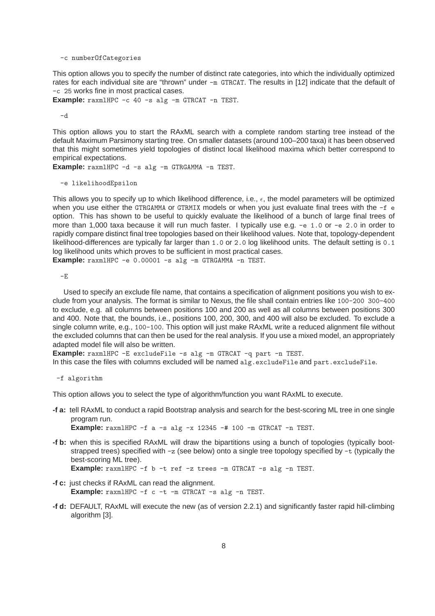-c numberOfCategories

This option allows you to specify the number of distinct rate categories, into which the individually optimized rates for each individual site are "thrown" under -m GTRCAT. The results in [12] indicate that the default of -c 25 works fine in most practical cases.

**Example:** raxmlHPC -c 40 -s alg -m GTRCAT -n TEST.

-d

This option allows you to start the RAxML search with a complete random starting tree instead of the default Maximum Parsimony starting tree. On smaller datasets (around 100–200 taxa) it has been observed that this might sometimes yield topologies of distinct local likelihood maxima which better correspond to empirical expectations.

**Example:** raxmlHPC -d -s alg -m GTRGAMMA -n TEST.

-e likelihoodEpsilon

This allows you to specify up to which likelihood difference, i.e.,  $\epsilon$ , the model parameters will be optimized when you use either the GTRGAMMA or GTRMIX models or when you just evaluate final trees with the -f e option. This has shown to be useful to quickly evaluate the likelihood of a bunch of large final trees of more than 1,000 taxa because it will run much faster. I typically use e.g. -e 1.0 or -e 2.0 in order to rapidly compare distinct final tree topologies based on their likelihood values. Note that, topology-dependent likelihood-differences are typically far larger than 1.0 or 2.0 log likelihood units. The default setting is 0.1 log likelihood units which proves to be sufficient in most practical cases.

**Example:** raxmlHPC -e 0.00001 -s alg -m GTRGAMMA -n TEST.

-E

Used to specify an exclude file name, that contains a specification of alignment positions you wish to exclude from your analysis. The format is similar to Nexus, the file shall contain entries like 100-200 300-400 to exclude, e.g. all columns between positions 100 and 200 as well as all columns between positions 300 and 400. Note that, the bounds, i.e., positions 100, 200, 300, and 400 will also be excluded. To exclude a single column write, e.g., 100-100. This option will just make RAxML write a reduced alignment file without the excluded columns that can then be used for the real analysis. If you use a mixed model, an appropriately adapted model file will also be written.

**Example:** raxmlHPC -E excludeFile -s alg -m GTRCAT -q part -n TEST.

In this case the files with columns excluded will be named  $a \lg .$  excludeFile and part.excludeFile.

-f algorithm

This option allows you to select the type of algorithm/function you want RAxML to execute.

- **-f a:** tell RAxML to conduct a rapid Bootstrap analysis and search for the best-scoring ML tree in one single program run. **Example:** raxmlHPC -f a -s alg -x 12345 -# 100 -m GTRCAT -n TEST.
- **-f b:** when this is specified RAxML will draw the bipartitions using a bunch of topologies (typically bootstrapped trees) specified with  $-z$  (see below) onto a single tree topology specified by  $-t$  (typically the best-scoring ML tree). **Example:** raxmlHPC -f b -t ref -z trees -m GTRCAT -s alg -n TEST.
- **-f c:** just checks if RAxML can read the alignment. **Example:** raxmlHPC -f c -t -m GTRCAT -s alg -n TEST.
- **-f d:** DEFAULT, RAxML will execute the new (as of version 2.2.1) and significantly faster rapid hill-climbing algorithm [3].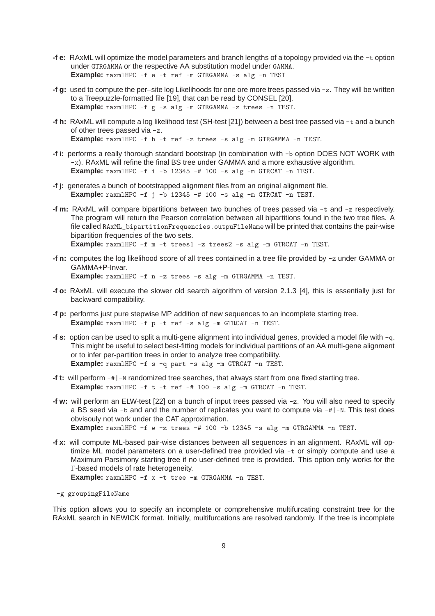- **-f e:** RAxML will optimize the model parameters and branch lengths of a topology provided via the -t option under GTRGAMMA or the respective AA substitution model under GAMMA. **Example:** raxmlHPC -f e -t ref -m GTRGAMMA -s alg -n TEST
- **-f g:** used to compute the per–site log Likelihoods for one ore more trees passed via -z. They will be written to a Treepuzzle-formatted file [19], that can be read by CONSEL [20]. **Example:** raxmlHPC -f g -s alg -m GTRGAMMA -z trees -n TEST.
- **-f h:** RAxML will compute a log likelihood test (SH-test [21]) between a best tree passed via -t and a bunch of other trees passed via -z. **Example:** raxmlHPC -f h -t ref -z trees -s alg -m GTRGAMMA -n TEST.
- **-f i:** performs a really thorough standard bootstrap (in combination with -b option DOES NOT WORK with -x). RAxML will refine the final BS tree under GAMMA and a more exhaustive algorithm. **Example:** raxmlHPC -f i -b 12345 -# 100 -s alg -m GTRCAT -n TEST.
- **-f j:** generates a bunch of bootstrapped alignment files from an original alignment file. **Example:** raxmlHPC -f j -b 12345 -# 100 -s alg -m GTRCAT -n TEST.
- **-f m:** RAxML will compare bipartitions between two bunches of trees passed via -t and -z respectively. The program will return the Pearson correlation between all bipartitions found in the two tree files. A file called RAxML\_bipartitionFrequencies.outpuFileName will be printed that contains the pair-wise bipartition frequencies of the two sets. **Example:** raxmlHPC -f m -t trees1 -z trees2 -s alg -m GTRCAT -n TEST.
- **-f n:** computes the log likelihood score of all trees contained in a tree file provided by -z under GAMMA or GAMMA+P-Invar. **Example:** raxmlHPC -f n -z trees -s alg -m GTRGAMMA -n TEST.
- **-f o:** RAxML will execute the slower old search algorithm of version 2.1.3 [4], this is essentially just for backward compatibility.
- **-f p:** performs just pure stepwise MP addition of new sequences to an incomplete starting tree. **Example:** raxmlHPC -f p -t ref -s alg -m GTRCAT -n TEST.
- **-f s:** option can be used to split a multi-gene alignment into individual genes, provided a model file with -q. This might be useful to select best-fitting models for individual partitions of an AA multi-gene alignment or to infer per-partition trees in order to analyze tree compatibility. **Example:** raxmlHPC -f s -q part -s alg -m GTRCAT -n TEST.
- **-f t:** will perform -#|-N randomized tree searches, that always start from one fixed starting tree. **Example:** raxmlHPC -f t -t ref -# 100 -s alg -m GTRCAT -n TEST.
- **-f w:** will perform an ELW-test [22] on a bunch of input trees passed via -z. You will also need to specify a BS seed via -b and and the number of replicates you want to compute via -#|-N. This test does obvisouly not work under the CAT approximation. **Example:** raxmlHPC -f w -z trees -# 100 -b 12345 -s alg -m GTRGAMMA -n TEST.
- **-f x:** will compute ML-based pair-wise distances between all sequences in an alignment. RAxML will optimize ML model parameters on a user-defined tree provided via -t or simply compute and use a Maximum Parsimony starting tree if no user-defined tree is provided. This option only works for the Γ-based models of rate heterogeneity. **Example:** raxmlHPC -f x -t tree -m GTRGAMMA -n TEST.

-g groupingFileName

This option allows you to specify an incomplete or comprehensive multifurcating constraint tree for the RAxML search in NEWICK format. Initially, multifurcations are resolved randomly. If the tree is incomplete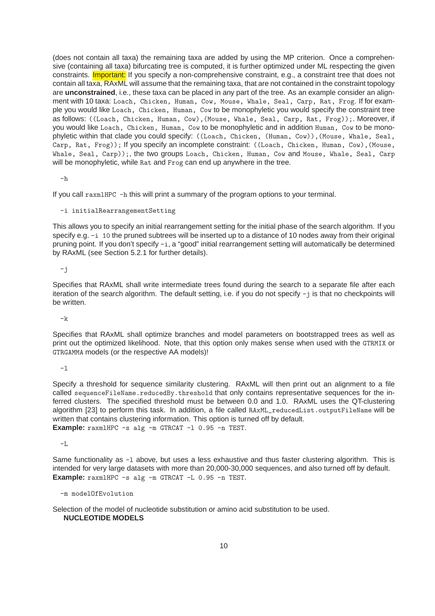(does not contain all taxa) the remaining taxa are added by using the MP criterion. Once a comprehensive (containing all taxa) bifurcating tree is computed, it is further optimized under ML respecting the given constraints. **Important:** If you specify a non-comprehensive constraint, e.g., a constraint tree that does not contain all taxa, RAxML will assume that the remaining taxa, that are not contained in the constraint topology are **unconstrained**, i.e., these taxa can be placed in any part of the tree. As an example consider an alignment with 10 taxa: Loach, Chicken, Human, Cow, Mouse, Whale, Seal, Carp, Rat, Frog. If for example you would like Loach, Chicken, Human, Cow to be monophyletic you would specify the constraint tree as follows: ((Loach, Chicken, Human, Cow),(Mouse, Whale, Seal, Carp, Rat, Frog));. Moreover, if you would like Loach, Chicken, Human, Cow to be monophyletic and in addition Human, Cow to be monophyletic within that clade you could specify: ((Loach, Chicken, (Human, Cow)),(Mouse, Whale, Seal, Carp, Rat, Frog)); If you specify an incomplete constraint: ((Loach, Chicken, Human, Cow),(Mouse, Whale, Seal, Carp));, the two groups Loach, Chicken, Human, Cow and Mouse, Whale, Seal, Carp will be monophyletic, while Rat and Frog can end up anywhere in the tree.

 $-h$ 

If you call raxmlHPC -h this will print a summary of the program options to your terminal.

-i initialRearrangementSetting

This allows you to specify an initial rearrangement setting for the initial phase of the search algorithm. If you specify e.g. -i 10 the pruned subtrees will be inserted up to a distance of 10 nodes away from their original pruning point. If you don't specify -i, a "good" initial rearrangement setting will automatically be determined by RAxML (see Section 5.2.1 for further details).

-j

Specifies that RAxML shall write intermediate trees found during the search to a separate file after each iteration of the search algorithm. The default setting, i.e. if you do not specify -j is that no checkpoints will be written.

 $-*k*$ 

Specifies that RAxML shall optimize branches and model parameters on bootstrapped trees as well as print out the optimized likelihood. Note, that this option only makes sense when used with the GTRMIX or GTRGAMMA models (or the respective AA models)!

 $-1$ 

Specify a threshold for sequence similarity clustering. RAxML will then print out an alignment to a file called sequenceFileName.reducedBy.threshold that only contains representative sequences for the inferred clusters. The specified threshold must be between 0.0 and 1.0. RAxML uses the QT-clustering algorithm [23] to perform this task. In addition, a file called RAxML\_reducedList.outputFileName will be written that contains clustering information. This option is turned off by default. **Example:** raxmlHPC -s alg -m GTRCAT -l 0.95 -n TEST.

-L

Same functionality as -1 above, but uses a less exhaustive and thus faster clustering algorithm. This is intended for very large datasets with more than 20,000-30,000 sequences, and also turned off by default. **Example:** raxmlHPC -s alg -m GTRCAT -L 0.95 -n TEST.

-m modelOfEvolution

Selection of the model of nucleotide substitution or amino acid substitution to be used. **NUCLEOTIDE MODELS**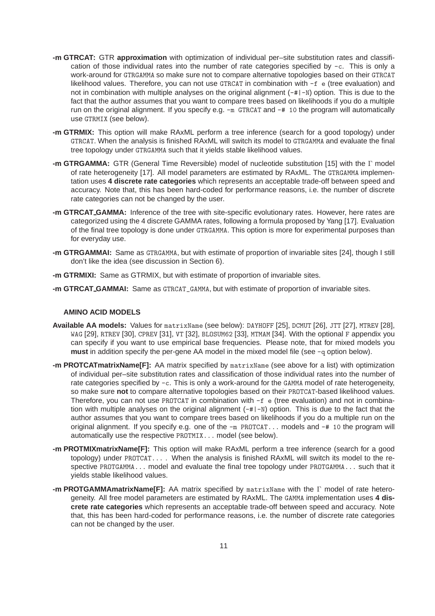- **-m GTRCAT:** GTR **approximation** with optimization of individual per–site substitution rates and classification of those individual rates into the number of rate categories specified by -c. This is only a work-around for GTRGAMMA so make sure not to compare alternative topologies based on their GTRCAT likelihood values. Therefore, you can not use GTRCAT in combination with -f e (tree evaluation) and not in combination with multiple analyses on the original alignment (-#|-N) option. This is due to the fact that the author assumes that you want to compare trees based on likelihoods if you do a multiple run on the original alignment. If you specify e.g.  $-m$  GTRCAT and  $-#$  10 the program will automatically use GTRMIX (see below).
- **-m GTRMIX:** This option will make RAxML perform a tree inference (search for a good topology) under GTRCAT. When the analysis is finished RAxML will switch its model to GTRGAMMA and evaluate the final tree topology under GTRGAMMA such that it yields stable likelihood values.
- **-m GTRGAMMA:** GTR (General Time Reversible) model of nucleotide substitution [15] with the Γ model of rate heterogeneity [17]. All model parameters are estimated by RAxML. The GTRGAMMA implementation uses **4 discrete rate categories** which represents an acceptable trade-off between speed and accuracy. Note that, this has been hard-coded for performance reasons, i.e. the number of discrete rate categories can not be changed by the user.
- **-m GTRCAT GAMMA:** Inference of the tree with site-specific evolutionary rates. However, here rates are categorized using the 4 discrete GAMMA rates, following a formula proposed by Yang [17]. Evaluation of the final tree topology is done under GTRGAMMA. This option is more for experimental purposes than for everyday use.
- **-m GTRGAMMAI:** Same as GTRGAMMA, but with estimate of proportion of invariable sites [24], though I still don't like the idea (see discussion in Section 6).
- **-m GTRMIXI:** Same as GTRMIX, but with estimate of proportion of invariable sites.
- **-m GTRCAT GAMMAI:** Same as GTRCAT\_GAMMA, but with estimate of proportion of invariable sites.

### **AMINO ACID MODELS**

- **Available AA models:** Values for matrixName (see below): DAYHOFF [25], DCMUT [26], JTT [27], MTREV [28], WAG [29], RTREV [30], CPREV [31], VT [32], BLOSUM62 [33], MTMAM [34]. With the optional F appendix you can specify if you want to use empirical base frequencies. Please note, that for mixed models you **must** in addition specify the per-gene AA model in the mixed model file (see -q option below).
- **-m PROTCATmatrixName[F]:** AA matrix specified by matrixName (see above for a list) with optimization of individual per–site substitution rates and classification of those individual rates into the number of rate categories specified by -c. This is only a work-around for the GAMMA model of rate heterogeneity, so make sure **not** to compare alternative topologies based on their PROTCAT-based likelihood values. Therefore, you can not use PROTCAT in combination with -f e (tree evaluation) and not in combination with multiple analyses on the original alignment  $(-\# \mid -\mathbb{N})$  option. This is due to the fact that the author assumes that you want to compare trees based on likelihoods if you do a multiple run on the original alignment. If you specify e.g. one of the -m PROTCAT... models and -# 10 the program will automatically use the respective PROTMIX... model (see below).
- **-m PROTMIXmatrixName[F]:** This option will make RAxML perform a tree inference (search for a good topology) under PROTCAT... . When the analysis is finished RAxML will switch its model to the respective PROTGAMMA... model and evaluate the final tree topology under PROTGAMMA... such that it yields stable likelihood values.
- **-m PROTGAMMAmatrixName[F]:** AA matrix specified by matrixName with the Γ model of rate heterogeneity. All free model parameters are estimated by RAxML. The GAMMA implementation uses **4 discrete rate categories** which represents an acceptable trade-off between speed and accuracy. Note that, this has been hard-coded for performance reasons, i.e. the number of discrete rate categories can not be changed by the user.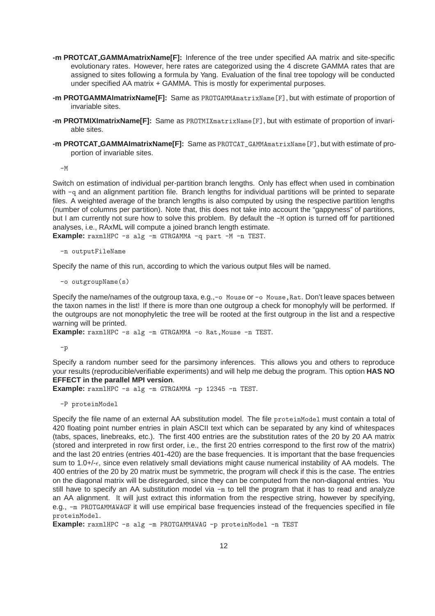- **-m PROTCAT GAMMAmatrixName[F]:** Inference of the tree under specified AA matrix and site-specific evolutionary rates. However, here rates are categorized using the 4 discrete GAMMA rates that are assigned to sites following a formula by Yang. Evaluation of the final tree topology will be conducted under specified AA matrix + GAMMA. This is mostly for experimental purposes.
- **-m PROTGAMMAImatrixName[F]:** Same as PROTGAMMAmatrixName[F], but with estimate of proportion of invariable sites.
- **-m PROTMIXImatrixName[F]:** Same as PROTMIXmatrixName[F], but with estimate of proportion of invariable sites.
- **-m PROTCAT GAMMAImatrixName[F]:** Same as PROTCAT\_GAMMAmatrixName[F], but with estimate of proportion of invariable sites.

 $-M$ 

Switch on estimation of individual per-partition branch lengths. Only has effect when used in combination with -q and an alignment partition file. Branch lengths for individual partitions will be printed to separate files. A weighted average of the branch lengths is also computed by using the respective partition lengths (number of columns per partition). Note that, this does not take into account the "gappyness" of partitions, but I am currently not sure how to solve this problem. By default the -M option is turned off for partitioned analyses, i.e., RAxML will compute a joined branch length estimate.

**Example:** raxmlHPC -s alg -m GTRGAMMA -q part -M -n TEST.

-n outputFileName

Specify the name of this run, according to which the various output files will be named.

-o outgroupName(s)

Specify the name/names of the outgroup taxa, e.g.,-o Mouse or -o Mouse, Rat. Don't leave spaces between the taxon names in the list! If there is more than one outgroup a check for monophyly will be performed. If the outgroups are not monophyletic the tree will be rooted at the first outgroup in the list and a respective warning will be printed.

**Example:** raxmlHPC -s alg -m GTRGAMMA -o Rat, Mouse -n TEST.

-p

Specify a random number seed for the parsimony inferences. This allows you and others to reproduce your results (reproducible/verifiable experiments) and will help me debug the program. This option **HAS NO EFFECT in the parallel MPI version**.

**Example:** raxmlHPC -s alg -m GTRGAMMA -p 12345 -n TEST.

-P proteinModel

Specify the file name of an external AA substitution model. The file proteinModel must contain a total of 420 floating point number entries in plain ASCII text which can be separated by any kind of whitespaces (tabs, spaces, linebreaks, etc.). The first 400 entries are the substitution rates of the 20 by 20 AA matrix (stored and interpreted in row first order, i.e., the first 20 entries correspond to the first row of the matrix) and the last 20 entries (entries 401-420) are the base frequencies. It is important that the base frequencies sum to 1.0+/- $\epsilon$ , since even relatively small deviations might cause numerical instability of AA models. The 400 entries of the 20 by 20 matrix must be symmetric, the program will check if this is the case. The entries on the diagonal matrix will be disregarded, since they can be computed from the non-diagonal entries. You still have to specify an AA substitution model via -m to tell the program that it has to read and analyze an AA alignment. It will just extract this information from the respective string, however by specifying, e.g., -m PROTGAMMAWAGF it will use empirical base frequencies instead of the frequencies specified in file proteinModel.

**Example:** raxmlHPC -s alg -m PROTGAMMAWAG -p proteinModel -n TEST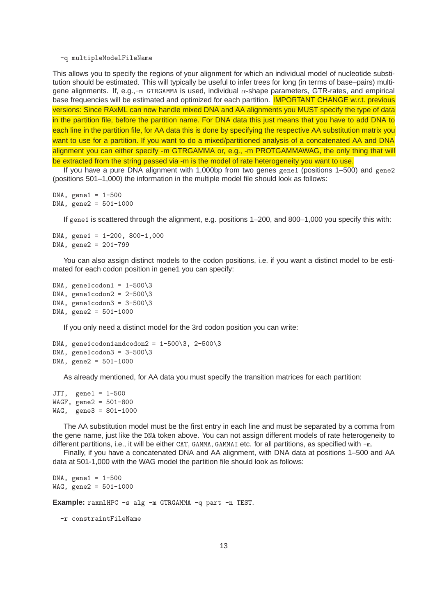-q multipleModelFileName

This allows you to specify the regions of your alignment for which an individual model of nucleotide substitution should be estimated. This will typically be useful to infer trees for long (in terms of base–pairs) multigene alignments. If, e.g., $-m$  GTRGAMMA is used, individual  $\alpha$ -shape parameters, GTR-rates, and empirical base frequencies will be estimated and optimized for each partition. **IMPORTANT CHANGE w.r.t. previous** versions: Since RAxML can now handle mixed DNA and AA alignments you MUST specify the type of data in the partition file, before the partition name. For DNA data this just means that you have to add DNA to each line in the partition file, for AA data this is done by specifying the respective AA substitution matrix you want to use for a partition. If you want to do a mixed/partitioned analysis of a concatenated AA and DNA alignment you can either specify -m GTRGAMMA or, e.g., -m PROTGAMMAWAG, the only thing that will be extracted from the string passed via -m is the model of rate heterogeneity you want to use.

If you have a pure DNA alignment with 1,000bp from two genes gene1 (positions 1–500) and gene2 (positions 501–1,000) the information in the multiple model file should look as follows:

```
DNA, gene1 = 1-500DNA, gene2 = 501-1000
```
If gene1 is scattered through the alignment, e.g. positions 1–200, and 800–1,000 you specify this with:

```
DNA, gene1 = 1-200, 800-1,000
DNA, gene2 = 201-799
```
You can also assign distinct models to the codon positions, i.e. if you want a distinct model to be estimated for each codon position in gene1 you can specify:

```
DNA, gene1codon1 = 1-500\overline{3}DNA, gene1codon2 = 2-500\overline{3}DNA, gene1codon3 = 3-500\3
DNA, gene2 = 501-1000
```
If you only need a distinct model for the 3rd codon position you can write:

```
DNA, gene1codon1andcodon2 = 1-500\overline{\smash{\big)}3}, 2-500\overline{\smash{\big)}3}DNA, gene1codon3 = 3-500\overline{3}DNA, gene2 = 501-1000
```
As already mentioned, for AA data you must specify the transition matrices for each partition:

```
JTT, gene1 = 1-500WAGF, gene2 = 501-800
WAG, gene3 = 801-1000
```
The AA substitution model must be the first entry in each line and must be separated by a comma from the gene name, just like the DNA token above. You can not assign different models of rate heterogeneity to different partitions, i.e., it will be either CAT, GAMMA, GAMMAI etc. for all partitions, as specified with -m.

Finally, if you have a concatenated DNA and AA alignment, with DNA data at positions 1–500 and AA data at 501-1,000 with the WAG model the partition file should look as follows:

```
DNA, gene1 = 1-500WAG, gene2 = 501 - 1000
```
**Example:** raxmlHPC -s alg -m GTRGAMMA -q part -n TEST.

-r constraintFileName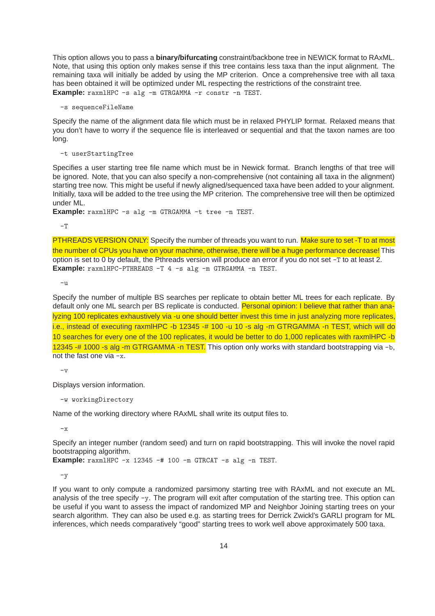This option allows you to pass a **binary/bifurcating** constraint/backbone tree in NEWICK format to RAxML. Note, that using this option only makes sense if this tree contains less taxa than the input alignment. The remaining taxa will initially be added by using the MP criterion. Once a comprehensive tree with all taxa has been obtained it will be optimized under ML respecting the restrictions of the constraint tree. **Example:** raxmlHPC -s alg -m GTRGAMMA -r constr -n TEST.

-s sequenceFileName

Specify the name of the alignment data file which must be in relaxed PHYLIP format. Relaxed means that you don't have to worry if the sequence file is interleaved or sequential and that the taxon names are too long.

-t userStartingTree

Specifies a user starting tree file name which must be in Newick format. Branch lengths of that tree will be ignored. Note, that you can also specify a non-comprehensive (not containing all taxa in the alignment) starting tree now. This might be useful if newly aligned/sequenced taxa have been added to your alignment. Initially, taxa will be added to the tree using the MP criterion. The comprehensive tree will then be optimized under ML.

**Example:** raxmlHPC -s alg -m GTRGAMMA -t tree -n TEST.

 $-T$ 

PTHREADS VERSION ONLY: Specify the number of threads you want to run. Make sure to set -T to at most the number of CPUs you have on your machine, otherwise, there will be a huge performance decrease! This option is set to 0 by default, the Pthreads version will produce an error if you do not set -T to at least 2. **Example:** raxmlHPC-PTHREADS -T 4 -s alg -m GTRGAMMA -n TEST.

-u

Specify the number of multiple BS searches per replicate to obtain better ML trees for each replicate. By default only one ML search per BS replicate is conducted. Personal opinion: I believe that rather than analyzing 100 replicates exhaustively via -u one should better invest this time in just analyzing more replicates, i.e., instead of executing raxmlHPC -b 12345 -# 100 -u 10 -s alg -m GTRGAMMA -n TEST, which will do 10 searches for every one of the 100 replicates, it would be better to do 1,000 replicates with raxmlHPC -b 12345 -# 1000 -s alg -m GTRGAMMA -n TEST. This option only works with standard bootstrapping via -b, not the fast one via -x.

 $-\nu$ 

Displays version information.

-w workingDirectory

Name of the working directory where RAxML shall write its output files to.

 $-\mathbf{x}$ 

Specify an integer number (random seed) and turn on rapid bootstrapping. This will invoke the novel rapid bootstrapping algorithm.

**Example:** raxmlHPC -x 12345 -# 100 -m GTRCAT -s alg -n TEST.

 $-y$ 

If you want to only compute a randomized parsimony starting tree with RAxML and not execute an ML analysis of the tree specify -y. The program will exit after computation of the starting tree. This option can be useful if you want to assess the impact of randomized MP and Neighbor Joining starting trees on your search algorithm. They can also be used e.g. as starting trees for Derrick Zwickl's GARLI program for ML inferences, which needs comparatively "good" starting trees to work well above approximately 500 taxa.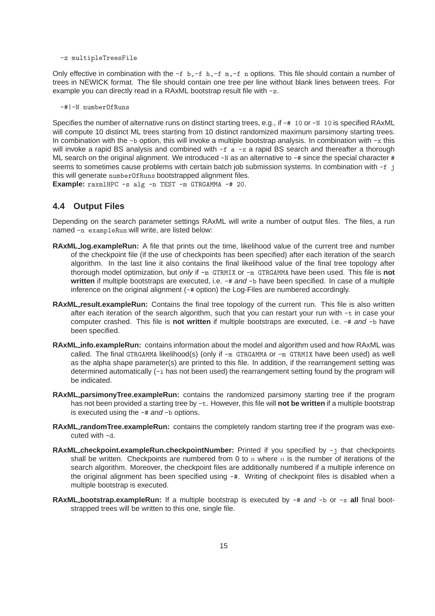-z multipleTreesFile

Only effective in combination with the  $-f$  b,  $-f$  h,  $-f$  n,  $-f$  n options. This file should contain a number of trees in NEWICK format. The file should contain one tree per line without blank lines between trees. For example you can directly read in a RAxML bootstrap result file with -z.

-#|-N numberOfRuns

Specifies the number of alternative runs on distinct starting trees, e.g., if  $-$ # 10 or  $-N$  10 is specified RAxML will compute 10 distinct ML trees starting from 10 distinct randomized maximum parsimony starting trees. In combination with the  $-b$  option, this will invoke a multiple bootstrap analysis. In combination with  $-x$  this will invoke a rapid BS analysis and combined with  $-f$  a  $-x$  a rapid BS search and thereafter a thorough ML search on the original alignment. We introduced  $-N$  as an alternative to  $-*$  since the special character  $#$ seems to sometimes cause problems with certain batch job submission systems. In combination with -f j this will generate numberOfRuns bootstrapped alignment files.

**Example:** raxmlHPC -s alg -n TEST -m GTRGAMMA -# 20.

## **4.4 Output Files**

Depending on the search parameter settings RAxML will write a number of output files. The files, a run named -n exampleRun will write, are listed below:

- **RAxML log.exampleRun:** A file that prints out the time, likelihood value of the current tree and number of the checkpoint file (if the use of checkpoints has been specified) after each iteration of the search algorithm. In the last line it also contains the final likelihood value of the final tree topology after thorough model optimization, but only if -m GTRMIX or -m GTRGAMMA have been used. This file is **not written** if multiple bootstraps are executed, i.e. -# and -b have been specified. In case of a multiple inference on the original alignment (-# option) the Log-Files are numbered accordingly.
- **RAxML result.exampleRun:** Contains the final tree topology of the current run. This file is also written after each iteration of the search algorithm, such that you can restart your run with -t in case your computer crashed. This file is **not written** if multiple bootstraps are executed, i.e. -# and -b have been specified.
- **RAxML info.exampleRun:** contains information about the model and algorithm used and how RAxML was called. The final GTRGAMMA likelihood(s) (only if -m GTRGAMMA or -m GTRMIX have been used) as well as the alpha shape parameter(s) are printed to this file. In addition, if the rearrangement setting was determined automatically (-i has not been used) the rearrangement setting found by the program will be indicated.
- **RAxML parsimonyTree.exampleRun:** contains the randomized parsimony starting tree if the program has not been provided a starting tree by -t. However, this file will **not be written** if a multiple bootstrap is executed using the  $-#$  and  $-$ b options.
- **RAxML randomTree.exampleRun:** contains the completely random starting tree if the program was executed with -d.
- **RAxML checkpoint.exampleRun.checkpointNumber:** Printed if you specified by -j that checkpoints shall be written. Checkpoints are numbered from 0 to  $n$  where  $n$  is the number of iterations of the search algorithm. Moreover, the checkpoint files are additionally numbered if a multiple inference on the original alignment has been specified using  $-\#$ . Writing of checkpoint files is disabled when a multiple bootstrap is executed.
- **RAxML bootstrap.exampleRun:** If a multiple bootstrap is executed by -# and -b or -x **all** final bootstrapped trees will be written to this one, single file.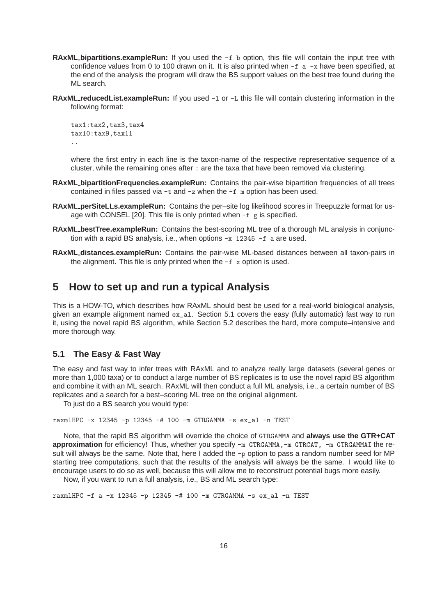- **RAxML bipartitions.exampleRun:** If you used the -f b option, this file will contain the input tree with confidence values from 0 to 100 drawn on it. It is also printed when  $-f$  a  $-x$  have been specified, at the end of the analysis the program will draw the BS support values on the best tree found during the ML search.
- **RAxML** reducedList.exampleRun: If you used  $-1$  or  $-L$  this file will contain clustering information in the following format:

```
tax1:tax2,tax3,tax4
tax10:tax9,tax11
..
```
where the first entry in each line is the taxon-name of the respective representative sequence of a cluster, while the remaining ones after : are the taxa that have been removed via clustering.

- **RAxML bipartitionFrequencies.exampleRun:** Contains the pair-wise bipartition frequencies of all trees contained in files passed via  $-t$  and  $-z$  when the  $-f$  m option has been used.
- **RAxML perSiteLLs.exampleRun:** Contains the per–site log likelihood scores in Treepuzzle format for usage with CONSEL [20]. This file is only printed when -f g is specified.
- **RAxML bestTree.exampleRun:** Contains the best-scoring ML tree of a thorough ML analysis in conjunction with a rapid BS analysis, i.e., when options -x 12345 -f a are used.
- **RAxML distances.exampleRun:** Contains the pair-wise ML-based distances between all taxon-pairs in the alignment. This file is only printed when the  $-f x$  option is used.

# **5 How to set up and run a typical Analysis**

This is a HOW-TO, which describes how RAxML should best be used for a real-world biological analysis, given an example alignment named  $ex_{al}$ . Section 5.1 covers the easy (fully automatic) fast way to run it, using the novel rapid BS algorithm, while Section 5.2 describes the hard, more compute–intensive and more thorough way.

### **5.1 The Easy & Fast Way**

The easy and fast way to infer trees with RAxML and to analyze really large datasets (several genes or more than 1,000 taxa) or to conduct a large number of BS replicates is to use the novel rapid BS algorithm and combine it with an ML search. RAxML will then conduct a full ML analysis, i.e., a certain number of BS replicates and a search for a best–scoring ML tree on the original alignment.

To just do a BS search you would type:

```
raxmlHPC -x 12345 -p 12345 -# 100 -m GTRGAMMA -s ex_al -n TEST
```
Note, that the rapid BS algorithm will override the choice of GTRGAMMA and **always use the GTR+CAT approximation** for efficiency! Thus, whether you specify -m GTRGAMMA, -m GTRCAT, -m GTRGAMMAI the result will always be the same. Note that, here I added the -p option to pass a random number seed for MP starting tree computations, such that the results of the analysis will always be the same. I would like to encourage users to do so as well, because this will allow me to reconstruct potential bugs more easily.

Now, if you want to run a full analysis, i.e., BS and ML search type:

raxmlHPC -f a -x 12345 -p 12345 -# 100 -m GTRGAMMA -s ex\_al -n TEST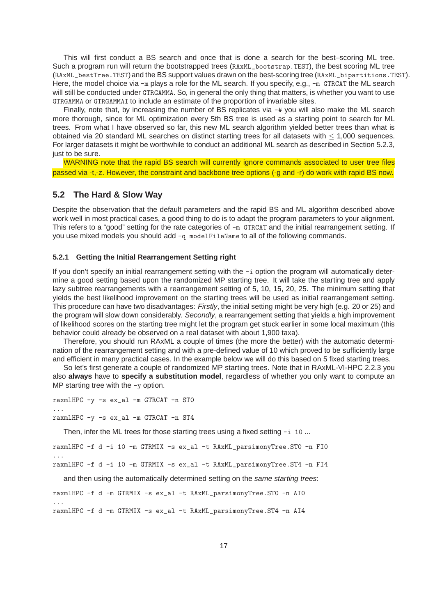This will first conduct a BS search and once that is done a search for the best–scoring ML tree. Such a program run will return the bootstrapped trees (RAxML\_bootstrap.TEST), the best scoring ML tree (RAxML\_bestTree.TEST)and the BS support values drawn on the best-scoring tree (RAxML\_bipartitions.TEST). Here, the model choice via -m plays a role for the ML search. If you specify, e.g., -m GTRCAT the ML search will still be conducted under GTRGAMMA. So, in general the only thing that matters, is whether you want to use GTRGAMMA or GTRGAMMAI to include an estimate of the proportion of invariable sites.

Finally, note that, by increasing the number of BS replicates via -# you will also make the ML search more thorough, since for ML optimization every 5th BS tree is used as a starting point to search for ML trees. From what I have observed so far, this new ML search algorithm yielded better trees than what is obtained via 20 standard ML searches on distinct starting trees for all datasets with  $\leq$  1,000 sequences. For larger datasets it might be worthwhile to conduct an additional ML search as described in Section 5.2.3, just to be sure.

WARNING note that the rapid BS search will currently ignore commands associated to user tree files passed via -t,-z. However, the constraint and backbone tree options (-g and -r) do work with rapid BS now.

### **5.2 The Hard & Slow Way**

Despite the observation that the default parameters and the rapid BS and ML algorithm described above work well in most practical cases, a good thing to do is to adapt the program parameters to your alignment. This refers to a "good" setting for the rate categories of -m GTRCAT and the initial rearrangement setting. If you use mixed models you should add -q modelFileName to all of the following commands.

### **5.2.1 Getting the Initial Rearrangement Setting right**

If you don't specify an initial rearrangement setting with the -i option the program will automatically determine a good setting based upon the randomized MP starting tree. It will take the starting tree and apply lazy subtree rearrangements with a rearrangement setting of 5, 10, 15, 20, 25. The minimum setting that yields the best likelihood improvement on the starting trees will be used as initial rearrangement setting. This procedure can have two disadvantages: Firstly, the initial setting might be very high (e.g. 20 or 25) and the program will slow down considerably. Secondly, a rearrangement setting that yields a high improvement of likelihood scores on the starting tree might let the program get stuck earlier in some local maximum (this behavior could already be observed on a real dataset with about 1,900 taxa).

Therefore, you should run RAxML a couple of times (the more the better) with the automatic determination of the rearrangement setting and with a pre-defined value of 10 which proved to be sufficiently large and efficient in many practical cases. In the example below we will do this based on 5 fixed starting trees.

So let's first generate a couple of randomized MP starting trees. Note that in RAxML-VI-HPC 2.2.3 you also **always** have to **specify a substitution model**, regardless of whether you only want to compute an MP starting tree with the -y option.

```
raxmlHPC -y -s ex_al -m GTRCAT -n ST0
...
raxmlHPC -y -s ex_al -m GTRCAT -n ST4
```
Then, infer the ML trees for those starting trees using a fixed setting  $-i$  10 ...

```
raxmlHPC -f d -i 10 -m GTRMIX -s ex_al -t RAxML_parsimonyTree.ST0 -n FI0
...
raxmlHPC -f d -i 10 -m GTRMIX -s ex_al -t RAxML_parsimonyTree.ST4 -n FI4
```
and then using the automatically determined setting on the same starting trees:

```
raxmlHPC -f d -m GTRMIX -s ex_al -t RAxML_parsimonyTree.ST0 -n AI0
...
raxmlHPC -f d -m GTRMIX -s ex_al -t RAxML_parsimonyTree.ST4 -n AI4
```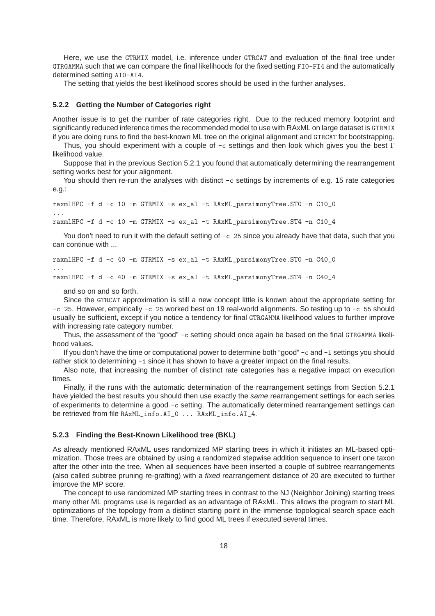Here, we use the GTRMIX model, i.e. inference under GTRCAT and evaluation of the final tree under GTRGAMMA such that we can compare the final likelihoods for the fixed setting FI0-FI4 and the automatically determined setting AI0-AI4.

The setting that yields the best likelihood scores should be used in the further analyses.

#### **5.2.2 Getting the Number of Categories right**

Another issue is to get the number of rate categories right. Due to the reduced memory footprint and significantly reduced inference times the recommended model to use with RAxML on large dataset is GTRMIX if you are doing runs to find the best-known ML tree on the original alignment and GTRCAT for bootstrapping.

Thus, you should experiment with a couple of  $-c$  settings and then look which gives you the best  $\Gamma$ likelihood value.

Suppose that in the previous Section 5.2.1 you found that automatically determining the rearrangement setting works best for your alignment.

You should then re-run the analyses with distinct -c settings by increments of e.g. 15 rate categories e.g.:

```
raxmlHPC -f d -c 10 -m GTRMIX -s ex_al -t RAxML_parsimonyTree.ST0 -n C10_0
...
raxmlHPC -f d -c 10 -m GTRMIX -s ex_al -t RAxML_parsimonyTree.ST4 -n C10_4
```
You don't need to run it with the default setting of  $-c$  25 since you already have that data, such that you can continue with ...

```
raxmlHPC -f d -c 40 -m GTRMIX -s ex_al -t RAxML_parsimonyTree.ST0 -n C40_0
...
raxmlHPC -f d -c 40 -m GTRMIX -s ex_al -t RAxML_parsimonyTree.ST4 -n C40_4
```
and so on and so forth.

Since the GTRCAT approximation is still a new concept little is known about the appropriate setting for -c 25. However, empirically -c 25 worked best on 19 real-world alignments. So testing up to -c 55 should usually be sufficient, except if you notice a tendency for final GTRGAMMA likelihood values to further improve with increasing rate category number.

Thus, the assessment of the "good"  $-c$  setting should once again be based on the final GTRGAMMA likelihood values.

If you don't have the time or computational power to determine both "good" -c and -i settings you should rather stick to determining -i since it has shown to have a greater impact on the final results.

Also note, that increasing the number of distinct rate categories has a negative impact on execution times.

Finally, if the runs with the automatic determination of the rearrangement settings from Section 5.2.1 have yielded the best results you should then use exactly the same rearrangement settings for each series of experiments to determine a good -c setting. The automatically determined rearrangement settings can be retrieved from file RAxML\_info.AI\_0 ... RAxML\_info.AI\_4.

#### **5.2.3 Finding the Best-Known Likelihood tree (BKL)**

As already mentioned RAxML uses randomized MP starting trees in which it initiates an ML-based optimization. Those trees are obtained by using a randomized stepwise addition sequence to insert one taxon after the other into the tree. When all sequences have been inserted a couple of subtree rearrangements (also called subtree pruning re-grafting) with a fixed rearrangement distance of 20 are executed to further improve the MP score.

The concept to use randomized MP starting trees in contrast to the NJ (Neighbor Joining) starting trees many other ML programs use is regarded as an advantage of RAxML. This allows the program to start ML optimizations of the topology from a distinct starting point in the immense topological search space each time. Therefore, RAxML is more likely to find good ML trees if executed several times.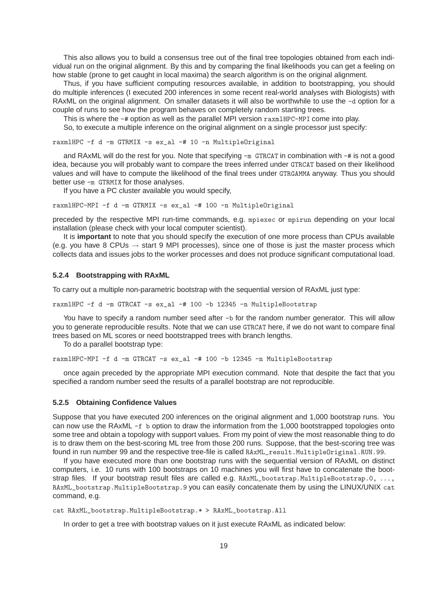This also allows you to build a consensus tree out of the final tree topologies obtained from each individual run on the original alignment. By this and by comparing the final likelihoods you can get a feeling on how stable (prone to get caught in local maxima) the search algorithm is on the original alignment.

Thus, if you have sufficient computing resources available, in addition to bootstrapping, you should do multiple inferences (I executed 200 inferences in some recent real-world analyses with Biologists) with RAxML on the original alignment. On smaller datasets it will also be worthwhile to use the -d option for a couple of runs to see how the program behaves on completely random starting trees.

This is where the -# option as well as the parallel MPI version raxmlHPC-MPI come into play.

So, to execute a multiple inference on the original alignment on a single processor just specify:

raxmlHPC -f d -m GTRMIX -s ex\_al -# 10 -n MultipleOriginal

and RAxML will do the rest for you. Note that specifying -m GTRCAT in combination with -# is not a good idea, because you will probably want to compare the trees inferred under GTRCAT based on their likelihood values and will have to compute the likelihood of the final trees under GTRGAMMA anyway. Thus you should better use -m GTRMIX for those analyses.

If you have a PC cluster available you would specify,

raxmlHPC-MPI -f d -m GTRMIX -s ex\_al -# 100 -n MultipleOriginal

preceded by the respective MPI run-time commands, e.g. mpiexec or mpirun depending on your local installation (please check with your local computer scientist).

It is **important** to note that you should specify the execution of one more process than CPUs available (e.g. you have 8 CPUs  $\rightarrow$  start 9 MPI processes), since one of those is just the master process which collects data and issues jobs to the worker processes and does not produce significant computational load.

### **5.2.4 Bootstrapping with RAxML**

To carry out a multiple non-parametric bootstrap with the sequential version of RAxML just type:

raxmlHPC -f d -m GTRCAT -s ex\_al -# 100 -b 12345 -n MultipleBootstrap

You have to specify a random number seed after -b for the random number generator. This will allow you to generate reproducible results. Note that we can use GTRCAT here, if we do not want to compare final trees based on ML scores or need bootstrapped trees with branch lengths.

To do a parallel bootstrap type:

raxmlHPC-MPI -f d -m GTRCAT -s ex\_al -# 100 -b 12345 -n MultipleBootstrap

once again preceded by the appropriate MPI execution command. Note that despite the fact that you specified a random number seed the results of a parallel bootstrap are not reproducible.

#### **5.2.5 Obtaining Confidence Values**

Suppose that you have executed 200 inferences on the original alignment and 1,000 bootstrap runs. You can now use the RAxML -f b option to draw the information from the 1,000 bootstrapped topologies onto some tree and obtain a topology with support values. From my point of view the most reasonable thing to do is to draw them on the best-scoring ML tree from those 200 runs. Suppose, that the best-scoring tree was found in run number 99 and the respective tree-file is called RAxML\_result.MultipleOriginal.RUN.99.

If you have executed more than one bootstrap runs with the sequential version of RAxML on distinct computers, i.e. 10 runs with 100 bootstraps on 10 machines you will first have to concatenate the bootstrap files. If your bootstrap result files are called e.g. RAxML\_bootstrap.MultipleBootstrap.0, ..., RAxML\_bootstrap.MultipleBootstrap.9 you can easily concatenate them by using the LINUX/UNIX cat command, e.g.

cat RAxML\_bootstrap.MultipleBootstrap.\* > RAxML\_bootstrap.All

In order to get a tree with bootstrap values on it just execute RAxML as indicated below: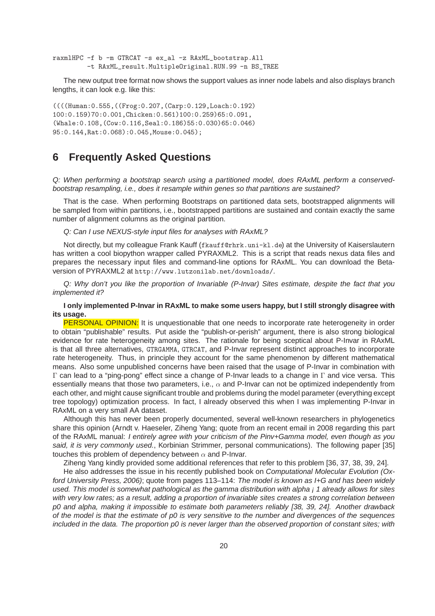```
raxmlHPC -f b -m GTRCAT -s ex_al -z RAxML_bootstrap.All
         -t RAxML_result.MultipleOriginal.RUN.99 -n BS_TREE
```
The new output tree format now shows the support values as inner node labels and also displays branch lengths, it can look e.g. like this:

```
((((Human:0.555,((Frog:0.207,(Carp:0.129,Loach:0.192)
100:0.159)70:0.001,Chicken:0.561)100:0.259)65:0.091,
(Whale:0.108,(Cow:0.116,Seal:0.186)55:0.030)65:0.046)
95:0.144,Rat:0.068):0.045,Mouse:0.045);
```
# **6 Frequently Asked Questions**

Q: When performing a bootstrap search using a partitioned model, does RAxML perform a conservedbootstrap resampling, i.e., does it resample within genes so that partitions are sustained?

That is the case. When performing Bootstraps on partitioned data sets, bootstrapped alignments will be sampled from within partitions, i.e., bootstrapped partitions are sustained and contain exactly the same number of alignment columns as the original partition.

Q: Can I use NEXUS-style input files for analyses with RAxML?

Not directly, but my colleague Frank Kauff (fkauff@rhrk.uni-kl.de) at the University of Kaiserslautern has written a cool biopython wrapper called PYRAXML2. This is a script that reads nexus data files and prepares the necessary input files and command-line options for RAxML. You can download the Betaversion of PYRAXML2 at http://www.lutzonilab.net/downloads/.

Q: Why don't you like the proportion of Invariable (P-Invar) Sites estimate, despite the fact that you implemented it?

### **I only implemented P-Invar in RAxML to make some users happy, but I still strongly disagree with its usage.**

PERSONAL OPINION: It is unquestionable that one needs to incorporate rate heterogeneity in order to obtain "publishable" results. Put aside the "publish-or-perish" argument, there is also strong biological evidence for rate heterogeneity among sites. The rationale for being sceptical about P-Invar in RAxML is that all three alternatives, GTRGAMMA, GTRCAT, and P-Invar represent distinct approaches to incorporate rate heterogeneity. Thus, in principle they account for the same phenomenon by different mathematical means. Also some unpublished concerns have been raised that the usage of P-Invar in combination with Γ can lead to a "ping-pong" effect since a change of P-Invar leads to a change in Γ and vice versa. This essentially means that those two parameters, i.e.,  $\alpha$  and P-Invar can not be optimized independently from each other, and might cause significant trouble and problems during the model parameter (everything except tree topology) optimization process. In fact, I already observed this when I was implementing P-Invar in RAxML on a very small AA dataset.

Although this has never been properly documented, several well-known researchers in phylogenetics share this opinion (Arndt v. Haeseler, Ziheng Yang; quote from an recent email in 2008 regarding this part of the RAxML manual: I entirely agree with your criticism of the Pinv+Gamma model, even though as you said, it is very commonly used., Korbinian Strimmer, personal communications). The following paper [35] touches this problem of dependency between  $\alpha$  and P-Invar.

Ziheng Yang kindly provided some additional references that refer to this problem [36, 37, 38, 39, 24].

He also addresses the issue in his recently published book on Computational Molecular Evolution (Oxford University Press, 2006); quote from pages 113–114: The model is known as I+G and has been widely used. This model is somewhat pathological as the gamma distribution with alpha i 1 already allows for sites with very low rates; as a result, adding a proportion of invariable sites creates a strong correlation between p0 and alpha, making it impossible to estimate both parameters reliably [38, 39, 24]. Another drawback of the model is that the estimate of p0 is very sensitive to the number and divergences of the sequences included in the data. The proportion p0 is never larger than the observed proportion of constant sites; with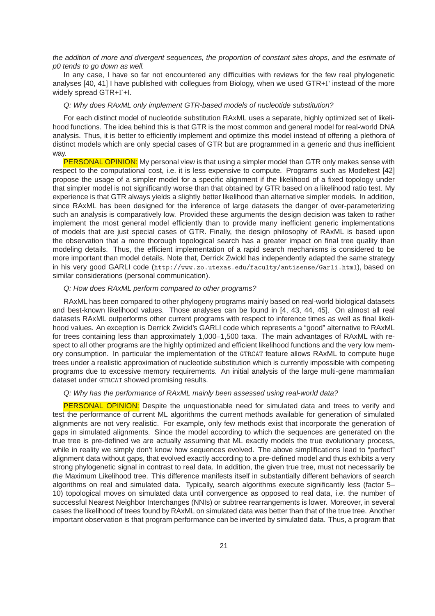the addition of more and divergent sequences, the proportion of constant sites drops, and the estimate of p0 tends to go down as well.

In any case, I have so far not encountered any difficulties with reviews for the few real phylogenetic analyses [40, 41] I have published with collegues from Biology, when we used GTR+Γ instead of the more widely spread GTR+Γ+I.

#### Q: Why does RAxML only implement GTR-based models of nucleotide substitution?

For each distinct model of nucleotide substitution RAxML uses a separate, highly optimized set of likelihood functions. The idea behind this is that GTR is the most common and general model for real-world DNA analysis. Thus, it is better to efficiently implement and optimize this model instead of offering a plethora of distinct models which are only special cases of GTR but are programmed in a generic and thus inefficient way.

**PERSONAL OPINION:** My personal view is that using a simpler model than GTR only makes sense with respect to the computational cost, i.e. it is less expensive to compute. Programs such as Modeltest [42] propose the usage of a simpler model for a specific alignment if the likelihood of a fixed topology under that simpler model is not significantly worse than that obtained by GTR based on a likelihood ratio test. My experience is that GTR always yields a slightly better likelihood than alternative simpler models. In addition, since RAxML has been designed for the inference of large datasets the danger of over-parameterizing such an analysis is comparatively low. Provided these arguments the design decision was taken to rather implement the most general model efficiently than to provide many inefficient generic implementations of models that are just special cases of GTR. Finally, the design philosophy of RAxML is based upon the observation that a more thorough topological search has a greater impact on final tree quality than modeling details. Thus, the efficient implementation of a rapid search mechanisms is considered to be more important than model details. Note that, Derrick Zwickl has independently adapted the same strategy in his very good GARLI code (http://www.zo.utexas.edu/faculty/antisense/Garli.html), based on similar considerations (personal communication).

#### Q: How does RAxML perform compared to other programs?

RAxML has been compared to other phylogeny programs mainly based on real-world biological datasets and best-known likelihood values. Those analyses can be found in [4, 43, 44, 45]. On almost all real datasets RAxML outperforms other current programs with respect to inference times as well as final likelihood values. An exception is Derrick Zwickl's GARLI code which represents a "good" alternative to RAxML for trees containing less than approximately 1,000–1,500 taxa. The main advantages of RAxML with respect to all other programs are the highly optimized and efficient likelihood functions and the very low memory consumption. In particular the implementation of the GTRCAT feature allows RAxML to compute huge trees under a realistic approximation of nucleotide substitution which is currently impossible with competing programs due to excessive memory requirements. An initial analysis of the large multi-gene mammalian dataset under GTRCAT showed promising results.

#### Q: Why has the performance of RAxML mainly been assessed using real-world data?

**PERSONAL OPINION:** Despite the unquestionable need for simulated data and trees to verify and test the performance of current ML algorithms the current methods available for generation of simulated alignments are not very realistic. For example, only few methods exist that incorporate the generation of gaps in simulated alignments. Since the model according to which the sequences are generated on the true tree is pre-defined we are actually assuming that ML exactly models the true evolutionary process, while in reality we simply don't know how sequences evolved. The above simplifications lead to "perfect" alignment data without gaps, that evolved exactly according to a pre-defined model and thus exhibits a very strong phylogenetic signal in contrast to real data. In addition, the given true tree, must not necessarily be the Maximum Likelihood tree. This difference manifests itself in substantially different behaviors of search algorithms on real and simulated data. Typically, search algorithms execute significantly less (factor 5– 10) topological moves on simulated data until convergence as opposed to real data, i.e. the number of successful Nearest Neighbor Interchanges (NNIs) or subtree rearrangements is lower. Moreover, in several cases the likelihood of trees found by RAxML on simulated data was better than that of the true tree. Another important observation is that program performance can be inverted by simulated data. Thus, a program that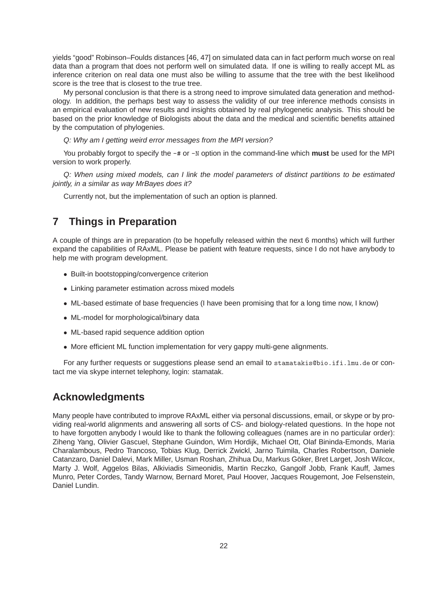yields "good" Robinson–Foulds distances [46, 47] on simulated data can in fact perform much worse on real data than a program that does not perform well on simulated data. If one is willing to really accept ML as inference criterion on real data one must also be willing to assume that the tree with the best likelihood score is the tree that is closest to the true tree.

My personal conclusion is that there is a strong need to improve simulated data generation and methodology. In addition, the perhaps best way to assess the validity of our tree inference methods consists in an empirical evaluation of new results and insights obtained by real phylogenetic analysis. This should be based on the prior knowledge of Biologists about the data and the medical and scientific benefits attained by the computation of phylogenies.

Q: Why am I getting weird error messages from the MPI version?

You probably forgot to specify the  $-\text{\#}$  or  $-\text{\#}$  option in the command-line which **must** be used for the MPI version to work properly.

Q: When using mixed models, can I link the model parameters of distinct partitions to be estimated jointly, in a similar as way MrBayes does it?

Currently not, but the implementation of such an option is planned.

# **7 Things in Preparation**

A couple of things are in preparation (to be hopefully released within the next 6 months) which will further expand the capabilities of RAxML. Please be patient with feature requests, since I do not have anybody to help me with program development.

- Built-in bootstopping/convergence criterion
- Linking parameter estimation across mixed models
- ML-based estimate of base frequencies (I have been promising that for a long time now, I know)
- ML-model for morphological/binary data
- ML-based rapid sequence addition option
- More efficient ML function implementation for very gappy multi-gene alignments.

For any further requests or suggestions please send an email to stamatakis@bio.ifi.lmu.de or contact me via skype internet telephony, login: stamatak.

## **Acknowledgments**

Many people have contributed to improve RAxML either via personal discussions, email, or skype or by providing real-world alignments and answering all sorts of CS- and biology-related questions. In the hope not to have forgotten anybody I would like to thank the following colleagues (names are in no particular order): Ziheng Yang, Olivier Gascuel, Stephane Guindon, Wim Hordijk, Michael Ott, Olaf Bininda-Emonds, Maria Charalambous, Pedro Trancoso, Tobias Klug, Derrick Zwickl, Jarno Tuimila, Charles Robertson, Daniele Catanzaro, Daniel Dalevi, Mark Miller, Usman Roshan, Zhihua Du, Markus Göker, Bret Larget, Josh Wilcox, Marty J. Wolf, Aggelos Bilas, Alkiviadis Simeonidis, Martin Reczko, Gangolf Jobb, Frank Kauff, James Munro, Peter Cordes, Tandy Warnow, Bernard Moret, Paul Hoover, Jacques Rougemont, Joe Felsenstein, Daniel Lundin.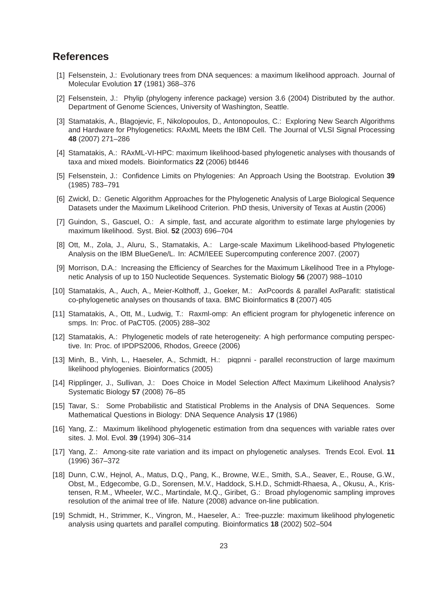## **References**

- [1] Felsenstein, J.: Evolutionary trees from DNA sequences: a maximum likelihood approach. Journal of Molecular Evolution **17** (1981) 368–376
- [2] Felsenstein, J.: Phylip (phylogeny inference package) version 3.6 (2004) Distributed by the author. Department of Genome Sciences, University of Washington, Seattle.
- [3] Stamatakis, A., Blagojevic, F., Nikolopoulos, D., Antonopoulos, C.: Exploring New Search Algorithms and Hardware for Phylogenetics: RAxML Meets the IBM Cell. The Journal of VLSI Signal Processing **48** (2007) 271–286
- [4] Stamatakis, A.: RAxML-VI-HPC: maximum likelihood-based phylogenetic analyses with thousands of taxa and mixed models. Bioinformatics **22** (2006) btl446
- [5] Felsenstein, J.: Confidence Limits on Phylogenies: An Approach Using the Bootstrap. Evolution **39** (1985) 783–791
- [6] Zwickl, D.: Genetic Algorithm Approaches for the Phylogenetic Analysis of Large Biological Sequence Datasets under the Maximum Likelihood Criterion. PhD thesis, University of Texas at Austin (2006)
- [7] Guindon, S., Gascuel, O.: A simple, fast, and accurate algorithm to estimate large phylogenies by maximum likelihood. Syst. Biol. **52** (2003) 696–704
- [8] Ott, M., Zola, J., Aluru, S., Stamatakis, A.: Large-scale Maximum Likelihood-based Phylogenetic Analysis on the IBM BlueGene/L. In: ACM/IEEE Supercomputing conference 2007. (2007)
- [9] Morrison, D.A.: Increasing the Efficiency of Searches for the Maximum Likelihood Tree in a Phylogenetic Analysis of up to 150 Nucleotide Sequences. Systematic Biology **56** (2007) 988–1010
- [10] Stamatakis, A., Auch, A., Meier-Kolthoff, J., Goeker, M.: AxPcoords & parallel AxParafit: statistical co-phylogenetic analyses on thousands of taxa. BMC Bioinformatics **8** (2007) 405
- [11] Stamatakis, A., Ott, M., Ludwig, T.: Raxml-omp: An efficient program for phylogenetic inference on smps. In: Proc. of PaCT05. (2005) 288–302
- [12] Stamatakis, A.: Phylogenetic models of rate heterogeneity: A high performance computing perspective. In: Proc. of IPDPS2006, Rhodos, Greece (2006)
- [13] Minh, B., Vinh, L., Haeseler, A., Schmidt, H.: piqpnni parallel reconstruction of large maximum likelihood phylogenies. Bioinformatics (2005)
- [14] Ripplinger, J., Sullivan, J.: Does Choice in Model Selection Affect Maximum Likelihood Analysis? Systematic Biology **57** (2008) 76–85
- [15] Tavar, S.: Some Probabilistic and Statistical Problems in the Analysis of DNA Sequences. Some Mathematical Questions in Biology: DNA Sequence Analysis **17** (1986)
- [16] Yang, Z.: Maximum likelihood phylogenetic estimation from dna sequences with variable rates over sites. J. Mol. Evol. **39** (1994) 306–314
- [17] Yang, Z.: Among-site rate variation and its impact on phylogenetic analyses. Trends Ecol. Evol. **11** (1996) 367–372
- [18] Dunn, C.W., Hejnol, A., Matus, D.Q., Pang, K., Browne, W.E., Smith, S.A., Seaver, E., Rouse, G.W., Obst, M., Edgecombe, G.D., Sorensen, M.V., Haddock, S.H.D., Schmidt-Rhaesa, A., Okusu, A., Kristensen, R.M., Wheeler, W.C., Martindale, M.Q., Giribet, G.: Broad phylogenomic sampling improves resolution of the animal tree of life. Nature (2008) advance on-line publication.
- [19] Schmidt, H., Strimmer, K., Vingron, M., Haeseler, A.: Tree-puzzle: maximum likelihood phylogenetic analysis using quartets and parallel computing. Bioinformatics **18** (2002) 502–504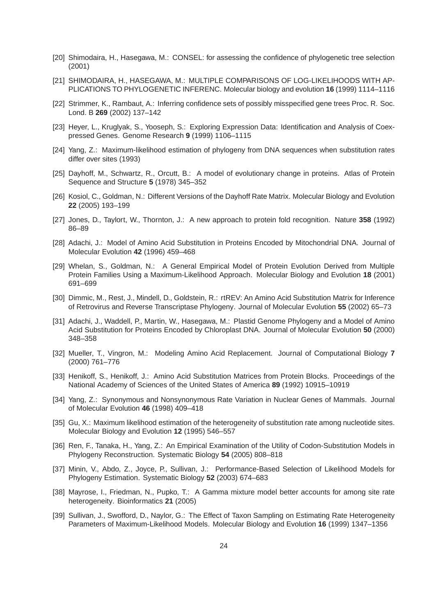- [20] Shimodaira, H., Hasegawa, M.: CONSEL: for assessing the confidence of phylogenetic tree selection (2001)
- [21] SHIMODAIRA, H., HASEGAWA, M.: MULTIPLE COMPARISONS OF LOG-LIKELIHOODS WITH AP-PLICATIONS TO PHYLOGENETIC INFERENC. Molecular biology and evolution **16** (1999) 1114–1116
- [22] Strimmer, K., Rambaut, A.: Inferring confidence sets of possibly misspecified gene trees Proc. R. Soc. Lond. B **269** (2002) 137–142
- [23] Heyer, L., Kruglyak, S., Yooseph, S.: Exploring Expression Data: Identification and Analysis of Coexpressed Genes. Genome Research **9** (1999) 1106–1115
- [24] Yang, Z.: Maximum-likelihood estimation of phylogeny from DNA sequences when substitution rates differ over sites (1993)
- [25] Dayhoff, M., Schwartz, R., Orcutt, B.: A model of evolutionary change in proteins. Atlas of Protein Sequence and Structure **5** (1978) 345–352
- [26] Kosiol, C., Goldman, N.: Different Versions of the Dayhoff Rate Matrix. Molecular Biology and Evolution **22** (2005) 193–199
- [27] Jones, D., Taylort, W., Thornton, J.: A new approach to protein fold recognition. Nature **358** (1992) 86–89
- [28] Adachi, J.: Model of Amino Acid Substitution in Proteins Encoded by Mitochondrial DNA. Journal of Molecular Evolution **42** (1996) 459–468
- [29] Whelan, S., Goldman, N.: A General Empirical Model of Protein Evolution Derived from Multiple Protein Families Using a Maximum-Likelihood Approach. Molecular Biology and Evolution **18** (2001) 691–699
- [30] Dimmic, M., Rest, J., Mindell, D., Goldstein, R.: rtREV: An Amino Acid Substitution Matrix for Inference of Retrovirus and Reverse Transcriptase Phylogeny. Journal of Molecular Evolution **55** (2002) 65–73
- [31] Adachi, J., Waddell, P., Martin, W., Hasegawa, M.: Plastid Genome Phylogeny and a Model of Amino Acid Substitution for Proteins Encoded by Chloroplast DNA. Journal of Molecular Evolution **50** (2000) 348–358
- [32] Mueller, T., Vingron, M.: Modeling Amino Acid Replacement. Journal of Computational Biology **7** (2000) 761–776
- [33] Henikoff, S., Henikoff, J.: Amino Acid Substitution Matrices from Protein Blocks. Proceedings of the National Academy of Sciences of the United States of America **89** (1992) 10915–10919
- [34] Yang, Z.: Synonymous and Nonsynonymous Rate Variation in Nuclear Genes of Mammals. Journal of Molecular Evolution **46** (1998) 409–418
- [35] Gu, X.: Maximum likelihood estimation of the heterogeneity of substitution rate among nucleotide sites. Molecular Biology and Evolution **12** (1995) 546–557
- [36] Ren, F., Tanaka, H., Yang, Z.: An Empirical Examination of the Utility of Codon-Substitution Models in Phylogeny Reconstruction. Systematic Biology **54** (2005) 808–818
- [37] Minin, V., Abdo, Z., Joyce, P., Sullivan, J.: Performance-Based Selection of Likelihood Models for Phylogeny Estimation. Systematic Biology **52** (2003) 674–683
- [38] Mayrose, I., Friedman, N., Pupko, T.: A Gamma mixture model better accounts for among site rate heterogeneity. Bioinformatics **21** (2005)
- [39] Sullivan, J., Swofford, D., Naylor, G.: The Effect of Taxon Sampling on Estimating Rate Heterogeneity Parameters of Maximum-Likelihood Models. Molecular Biology and Evolution **16** (1999) 1347–1356